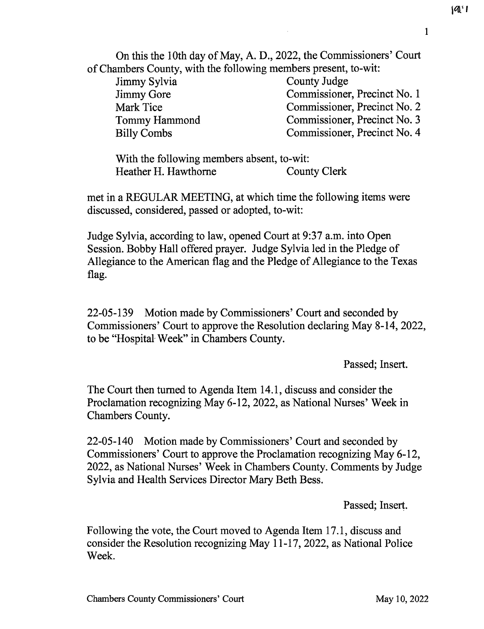On this the 10th day of May, A. D., 2022, the Commissioners' Court of Chambers County, with the following members present, to-wit:

| County Judge                 |
|------------------------------|
|                              |
| Commissioner, Precinct No. 1 |
| Commissioner, Precinct No. 2 |
| Commissioner, Precinct No. 3 |
| Commissioner, Precinct No. 4 |
|                              |

With the following members absent, to-wit: Heather H. Hawthorne County Clerk

met in a REGULAR MEETING, at which time the following items were discussed, considered, passed or adopted, to-wit:

Judge Sylvia, according to law, opened Court at 9:37 a.m. into Open Session. Bobby Hall offered prayer. Judge Sylvia led in the Pledge of Allegiance to the American flag and the Pledge of Allegiance to the Texas flag.

22-05-139 Motion made by Commissioners' Court and seconded by Commissioners' Court to approve the Resolution declaring May 8-14, 2022, to be "Hospital-Week" in Chambers County.

Passed; Insert.

The Court then turned to Agenda Item 14.1, discuss and consider the Proclamation recognizing May 6-12, 2022, as National Nurses' Week in Chambers County.

22-05-140 Motion made by Commissioners' Court and seconded by Commissioners' Court to approve the Proclamation recognizing May 6-12, 2022, as National Nurses' Week in Chambers County. Comments by Judge Sylvia and Health Services Director Mary Beth Bess.

Passed; Insert.

Following the vote, the Court moved to Agenda Item 17.1, discuss and consider the Resolution recognizing May 11-17, 2022, as National Police Week.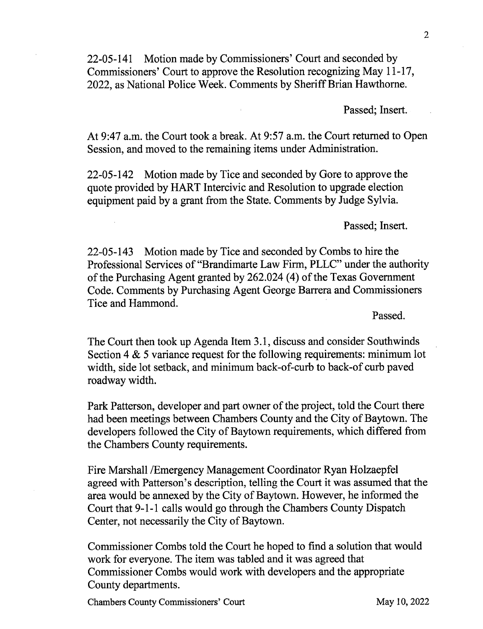22-05-141 Motion made by Commissioners' Court and seconded by Commissioners' Court to approve the Resolution recognizing May 11-17, 2022, as National Police Week. Comments by Sheriff Brian Hawthorne.

Passed; Insert.

At 9:47 a.m. the Court took a break. At 9:57 a.m. the Court returned to Open Session, and moved to the remaining items under Administration.

22-05-142 Motion made by Tice and seconded by Gore to approve the quote provided by HART Intercivic and Resolution to upgrade election equipment paid by a grant from the State. Comments by Judge Sylvia.

Passed; Insert.

22-05-143 Motion made by Tice and seconded by Combs to hire the Professional Services of "Brandimarte Law Firm, PLLC" under the authority of the Purchasing Agent granted by 262.024 (4) of the Texas Government Code. Comments by Purchasing Agent George Barrera and Commissioners Tice and Hammond.

Passed.

The Court then took up Agenda Item 3.1, discuss and consider Southwinds Section 4 & 5 variance request for the following requirements: minimum lot width, side lot setback, and minimum back-of-curb to back-of curb paved roadway width.

Park Patterson, developer and part owner of the project, told the Court there had been meetings between Chambers County and the City of Baytown. The developers followed the City of Baytown requirements, which differed from the Chambers County requirements.

Fire Marshall /Emergency Management Coordinator Ryan Holzaepfel agreed with Patterson's description, telling the Court it was assumed that the area would be annexed by the City of Baytown. However, he informed the Court that 9-1-1 calls would go through the Chambers County Dispatch Center, not necessarily the City of Baytown.

Commissioner Combs told the Court he hoped to find a solution that would work for everyone. The item was tabled and it was agreed that Commissioner Combs would work with developers and the appropriate County departments.

Chambers County Commissioners' Court May 10, 2022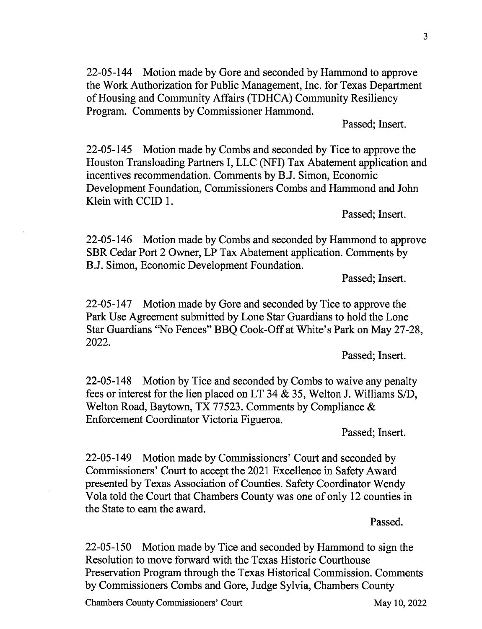3

22-05-144 Motion made by Gore and seconded by Hammond to approve the Work Authorization for Public Management, Inc. for Texas Department of Housing and Community Affairs (TDHCA) Community Resiliency Program. Comments by Commissioner Hammond.

Passed; Insert.

22-05-145 Motion made by Combs and seconded by Tice to approve the Houston Transloading Partners I, LLC (NFI) Tax Abatement application and incentives recommendation. Comments by B.J. Simon, Economic Development Foundation, Commissioners Combs and Hammond and John Klein with CCID 1.

Passed; Insert.

22-05-146 Motion made by Combs and seconded by Hammond to approve SBR Cedar Port 2 Owner, LP Tax Abatement application. Comments by B.J. Simon, Economic Development Foundation.

Passed; Insert.

22-05-147 Motion made by Gore and seconded by Tice to approve the Park Use Agreement submitted by Lone Star Guardians to hold the Lone Star Guardians "No Fences" BBQ Cook-Off at White's Park on May 27-28, 2022.

Passed; Insert.

22-05-148 Motion by Tice and seconded by Combs to waive any penalty fees or interest for the lien placed on LT 34 & 35, Welton J. Williams S/D, Welton Road, Baytown, TX 77523. Comments by Compliance & Enforcement Coordinator Victoria Figueroa.

Passed; Insert.

22-05-149 Motion made by Commissioners' Court and seconded by Commissioners' Court to accept the 2021 Excellence in Safety Award presented by Texas Association of Counties. Safety Coordinator Wendy Vola told the Court that Chambers County was one of only 12 counties in the State to earn the award.

Passed.

22-05-150 Motion made by Tice and seconded by Hammond to sign the Resolution to move forward with the Texas Historic Courthouse Preservation Program through the Texas Historical Commission. Comments by Commissioners Combs and Gore, Judge Sylvia, Chambers County

Chambers County Commissioners' Court May 10, 2022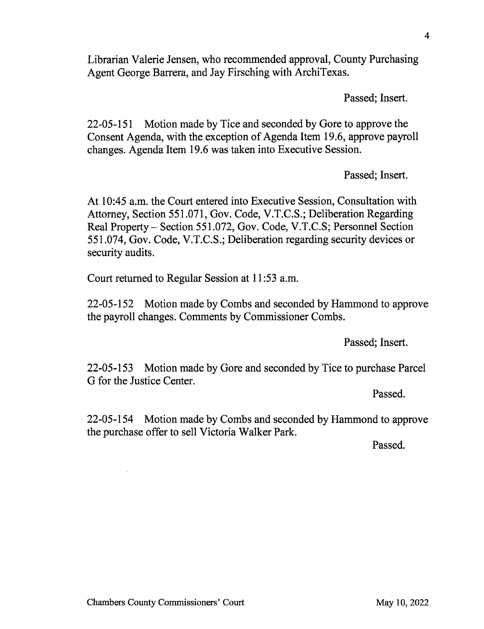Librarian Valerie Jensen, who recommended approval, County Purchasing Agent George Barrera, and Jay Firsching with ArchiTexas.

Passed; Insert.

4

22-05-151 Motion made by Tice and seconded by Gore to approve the Consent Agenda, with the exception of Agenda Item 19.6, approve payroll changes. Agenda Item 19.6 was taken into Executive Session.

Passed; Insert.

At 10:45 a.m. the Court entered into Executive Session, Consultation with Attorney, Section 551.071, Gov. Code, V.T.C.S.; Deliberation Regarding Real Property — Section 551.072, Gov. Code, V.T.C.S; Personnel Section 551.074, Gov. Code, V.T.C.S.; Deliberation regarding security devices or security audits.

Court returned to Regular Session at 11:53 a.m.

22-05-152 Motion made by Combs and seconded by Hammond to approve the payroll changes. Comments by Commissioner Combs.

Passed; Insert.

22-05-153 Motion made by Gore and seconded by Tice to purchase Parcel G for the Justice Center.

Passed.

22-05-154 Motion made by Combs and seconded by Hammond to approve the purchase offer to sell Victoria Walker Park.

Passed.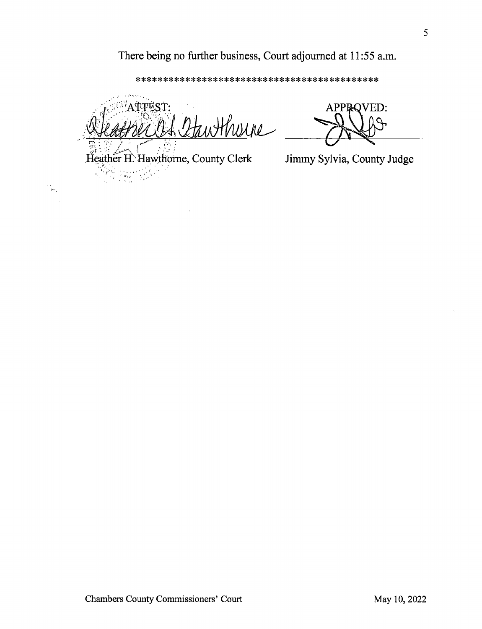## There being no further business, Court adjourned at 11:55 a.m.

\*\*\*\*\*\*\*\*\*\*\*\*\*\*\*\*\*\*\*\*\*\*\*\*\*\*\*\*\*\*\*\*\*\*\*\*\*\*\*\*\*\*\*\*

ATTEST: Hherne

Heather H. Hawthorne, County Clerk  $\frac{1}{\sqrt{2}}\sum_{i=1}^{n} \frac{1}{\sqrt{2}}\sum_{j=1}^{n} \frac{1}{\sqrt{2}}\sum_{j=1}^{n} \frac{1}{\sqrt{2}}\sum_{j=1}^{n} \frac{1}{\sqrt{2}}\sum_{j=1}^{n} \frac{1}{\sqrt{2}}\sum_{j=1}^{n} \frac{1}{\sqrt{2}}\sum_{j=1}^{n} \frac{1}{\sqrt{2}}\sum_{j=1}^{n} \frac{1}{\sqrt{2}}\sum_{j=1}^{n} \frac{1}{\sqrt{2}}\sum_{j=1}^{n} \frac{1}{\sqrt{2}}\sum_{j=1}^{n}$ 

 $\mu_{\rm W}$ 

APPROVED:

Jimmy Sylvia, County Judge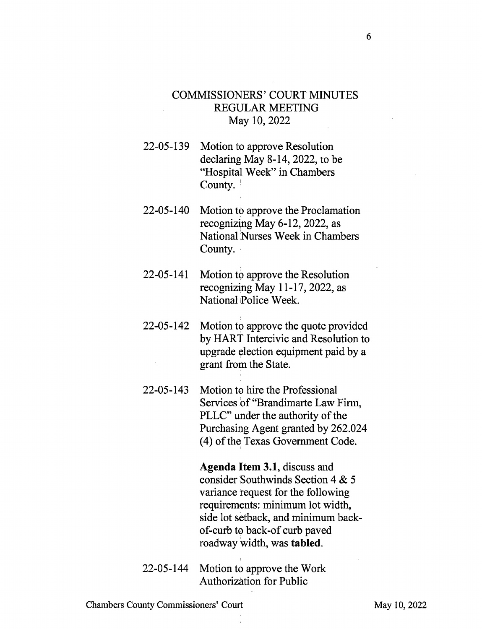## COMMISSIONERS' COURT MINUTES REGULAR MEETING May 10, 2022

- 22-05-139 Motion to approve Resolution declaring May 8-14, 2022, to be "Hospital Week" in Chambers County.
- 22-05-140 Motion to approve the Proclamation recognizing May 6-12, 2022, as National Nurses Week in Chambers County.
- 22-05-141 Motion to approve the Resolution recognizing May 11-17, 2022, as National Police Week.
- 22-05-142 Motion to approve the quote provided by HART Intercivic and Resolution to upgrade election equipment paid by a grant from the State.
- 22-05-143 Motion to hire the Professional Services of "Brandimarte Law Firm, PLLC" under the authority of the Purchasing Agent granted by 262.024 (4) of the Texas Government Code.

Agenda Item 3.1, discuss and consider Southwinds Section 4 & 5 variance request for the following requirements: minimum lot width, side lot setback, and minimum backof-curb to back-of curb paved roadway width, was tabled.

22-05-144 Motion to approve the Work Authorization for Public

Chambers County Commissioners' Court May 10, 2022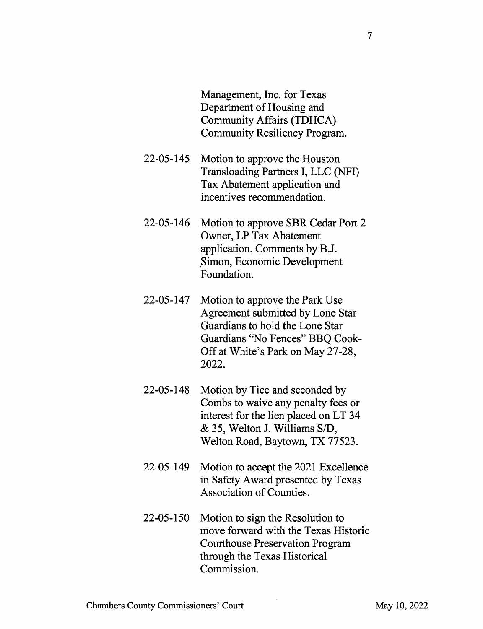Management, Inc. for Texas Department of Housing and Community Affairs (TDHCA) Community Resiliency Program.

- 22-05-145 Motion to approve the Houston Transloading Partners I, LLC (NFI) Tax Abatement application and incentives recommendation.
- 22-05-146 Motion to approve SBR Cedar Port 2 Owner, LP Tax Abatement application. Comments by B.J. Simon, Economic Development Foundation.
- 22-05-147 Motion to approve the Park Use Agreement submitted by Lone Star Guardians to hold the Lone Star Guardians "No Fences" BBQ Cook-Off at White's Park on May 27-28, 2022.
- 22-05-148 Motion by Tice and seconded by Combs to waive any penalty fees or interest for the lien placed on LT 34 & 35, Welton J. Williams S/D, Welton Road, Baytown, TX 77523.
- 22-05-149 Motion to accept the 2021 Excellence in Safety Award presented by Texas Association of Counties.
- 22-05-150 Motion to sign the Resolution to move forward with the Texas Historic Courthouse Preservation Program through the Texas Historical Commission.